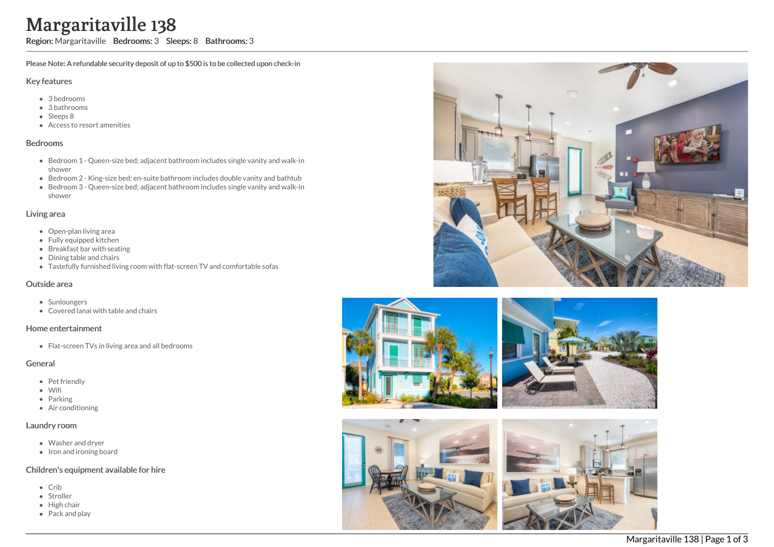# Margaritaville 138

Region: Margaritaville Bedrooms: 3 Sleeps: 8 Bathrooms: 3

Please Note: A refundable security deposit of up to \$500 is to be collected upon check-in

#### Key features

- 3 bedrooms
- 3 bathrooms
- Sleeps 8
- Access to resort amenities

#### Bedrooms

- Bedroom 1 Queen-size bed; adjacent bathroom includes single vanity and walk-in shower
- Bedroom 2 King-size bed; en-suite bathroom includes double vanity and bathtub
- Bedroom 3 Queen-size bed; adjacent bathroom includes single vanity and walk-in shower

#### Living area

- Open-plan living area
- Fully equipped kitchen
- Breakfast bar with seating
- Dining table and chairs
- Tastefully furnished living room with flat-screen TV and comfortable sofas

## Outside area

- Sunloungers
- Covered lanai with table and chairs

## Home entertainment

• Flat-screen TVs in living area and all bedrooms

## General

- Pet friendly
- Wifi
- Parking
- Air conditioning

## Laundry room

- Washer and dryer
- Iron and ironing board

## Children's equipment available for hire

- Crib
- Stroller
- $\bullet$  High chair
- Pack and play









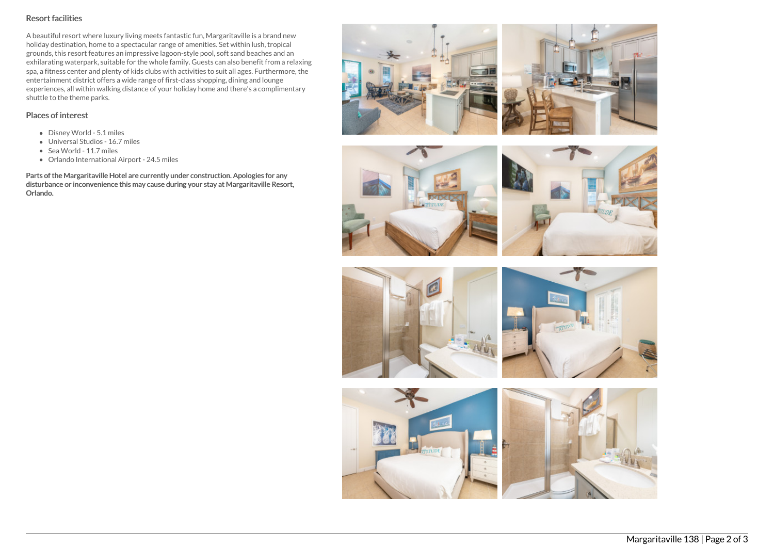# Resort facilities

A beautiful resort where luxury living meets fantastic fun, Margaritaville is a brand new holiday destination, home to a spectacular range of amenities. Set within lush, tropical grounds, this resort features an impressive lagoon-style pool, soft sand beaches and an exhilarating waterpark, suitable for the whole family. Guests can also benefit from a relaxing spa, a fitness center and plenty of kids clubs with activities to suit all ages. Furthermore, the entertainment district offers a wide range of first-class shopping, dining and lounge experiences, all within walking distance of your holiday home and there's a complimentary shuttle to the theme parks.

# Places of interest

- Disney World 5.1 miles
- Universal Studios 16.7 miles
- Sea World 11.7 miles
- Orlando International Airport 24.5 miles

Parts of the Margaritaville Hotel are currently under construction. Apologies for any disturbance or inconvenience this may cause during your stay at Margaritaville Resort, Orlando.